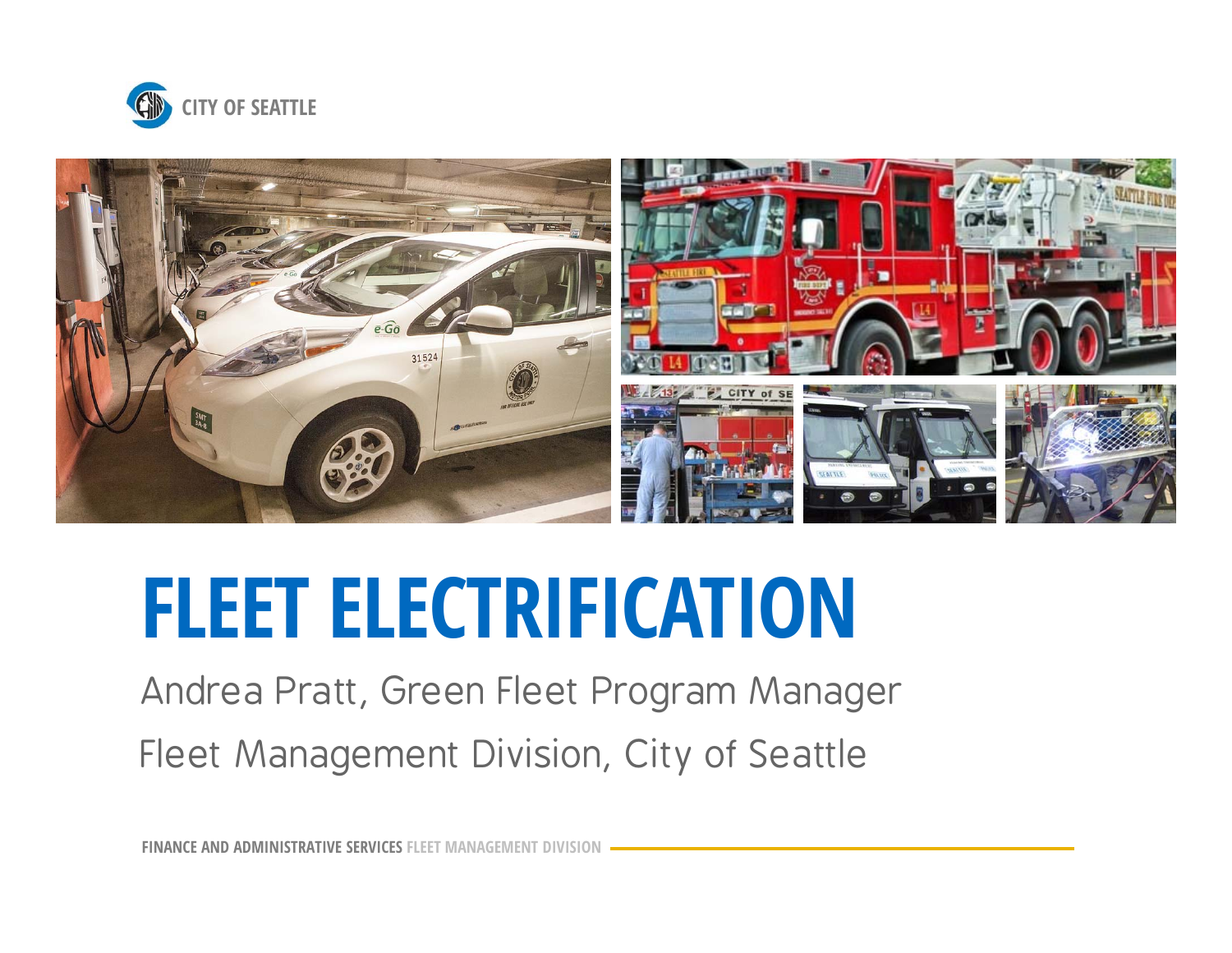



# **FLEET ELECTRIFICATION**

Andrea Pratt, Green Fleet Program Manager Fleet Management Division, City of Seattle

**FINANCE AND ADMINISTRATIVE SERVICES FLEET MANAGEMENT DIVISION**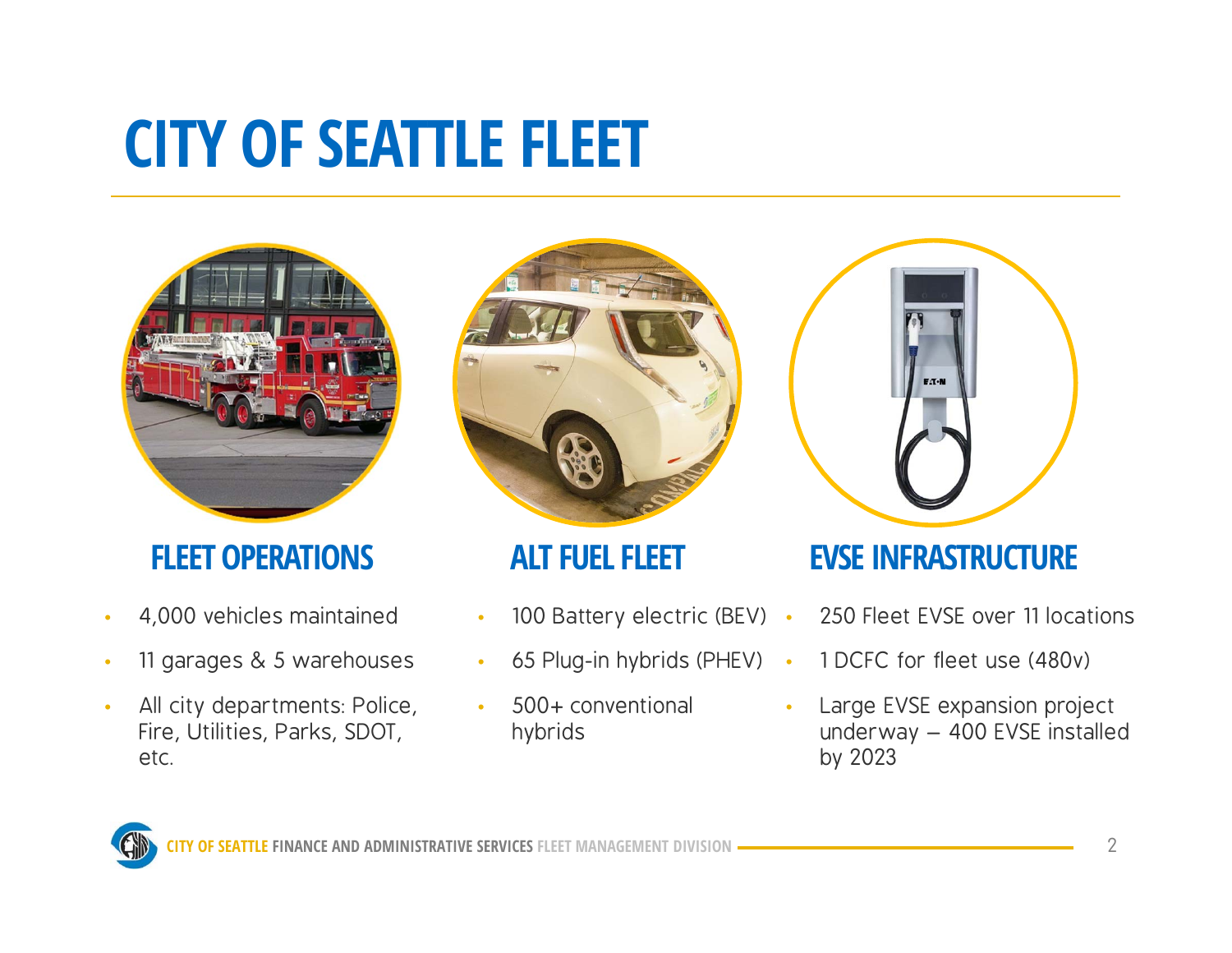#### **CITY OF SEATTLE FLEET**



- •4,000 vehicles maintained
- •11 garages & 5 warehouses
- • All city departments: Police, Fire, Utilities, Parks, SDOT, etc.



- •• 100 Battery electric (BEV) •
- •• 65 Plug-in hybrids (PHEV) •
- • 500+ conventional hybrids



#### **FLEET OPERATIONS ALT FUEL FLEET EVSE INFRASTRUCTURE**

- 250 Fleet EVSE over 11 locations
- 1 DCFC for fleet use (480v)
- • Large EVSE expansion project underway – 400 EVSE installed by 2023

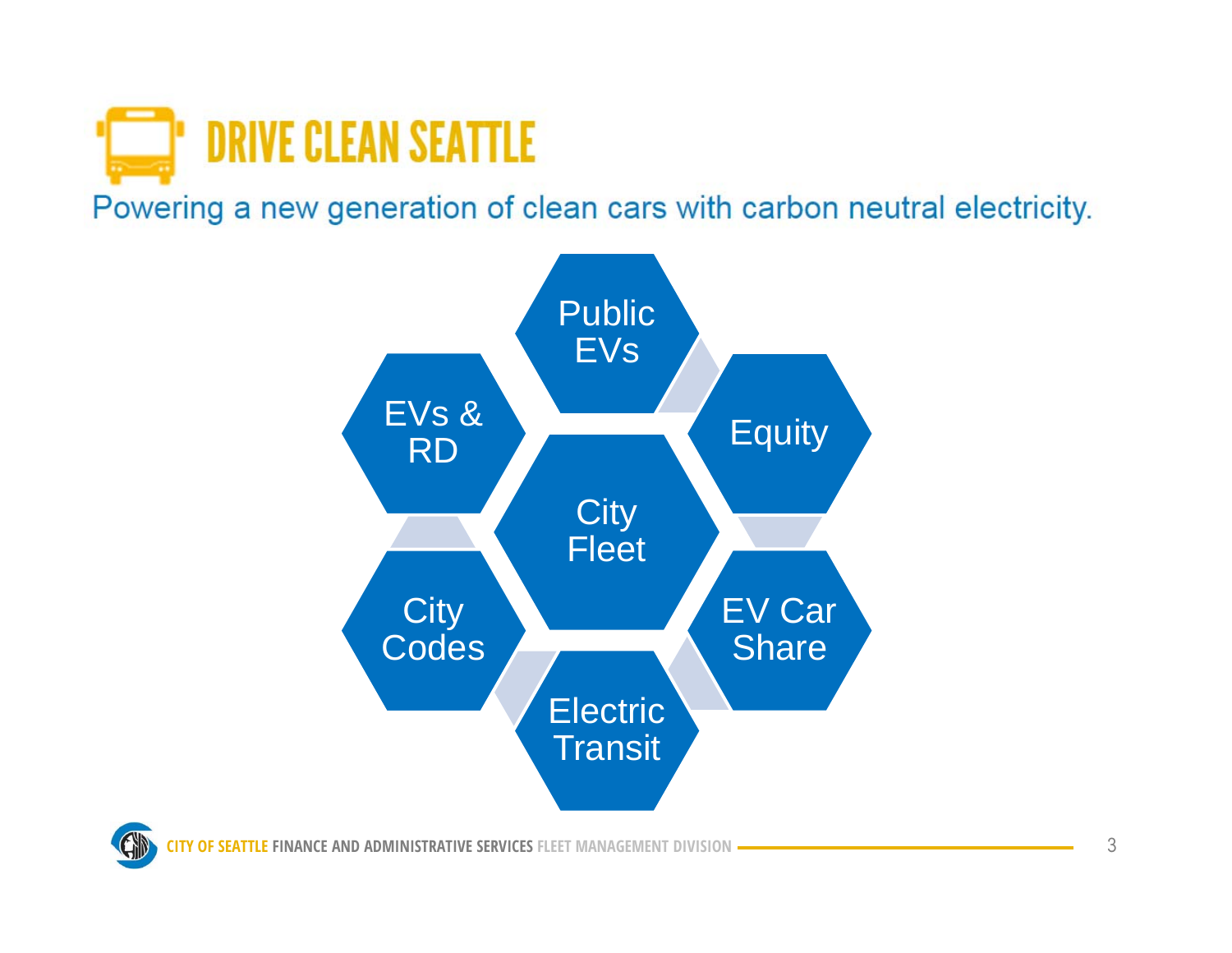

Powering a new generation of clean cars with carbon neutral electricity.



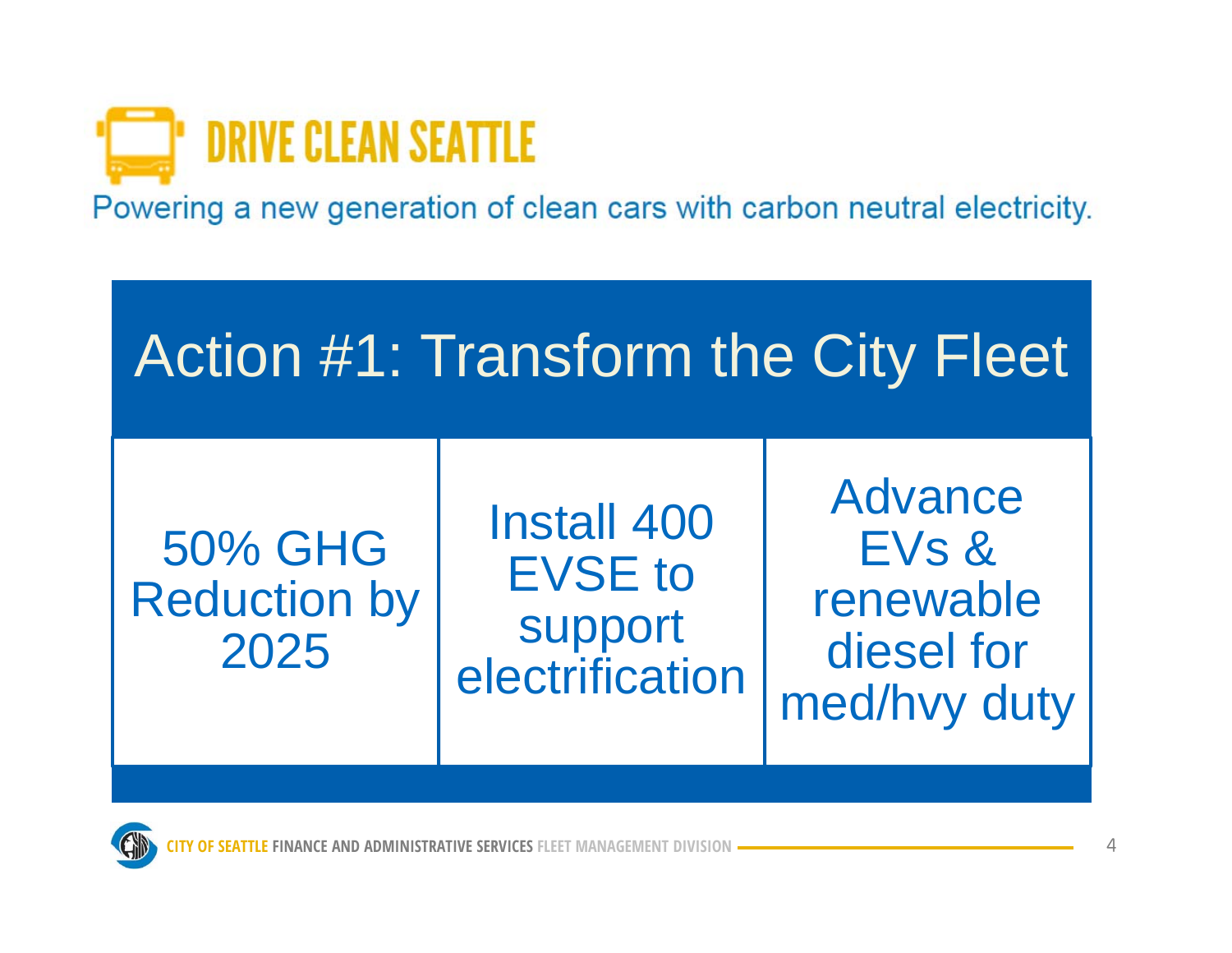

Powering a new generation of clean cars with carbon neutral electricity.



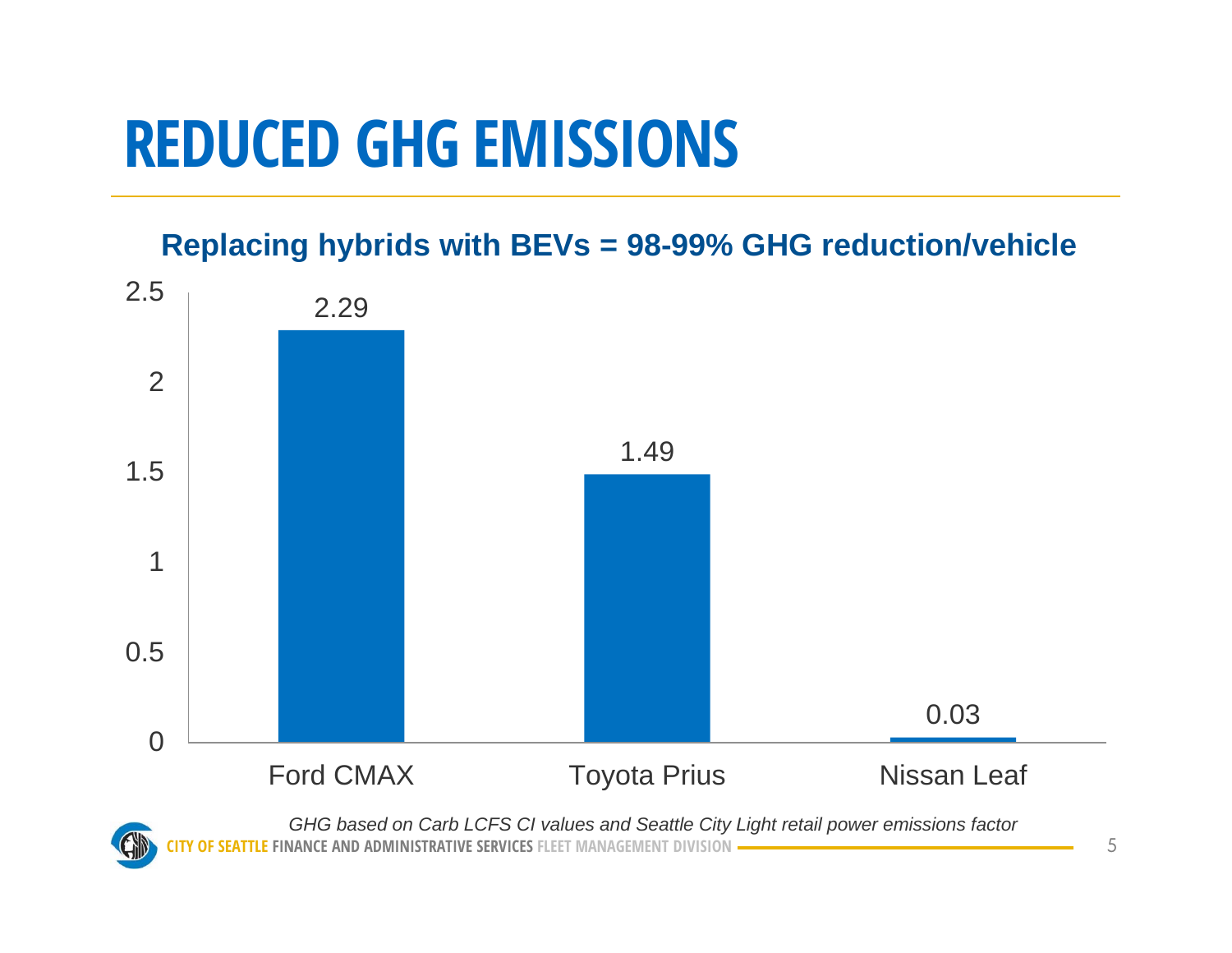#### **REDUCED GHG EMISSIONS**

**Replacing hybrids with BEVs = 98-99% GHG reduction/vehicle**

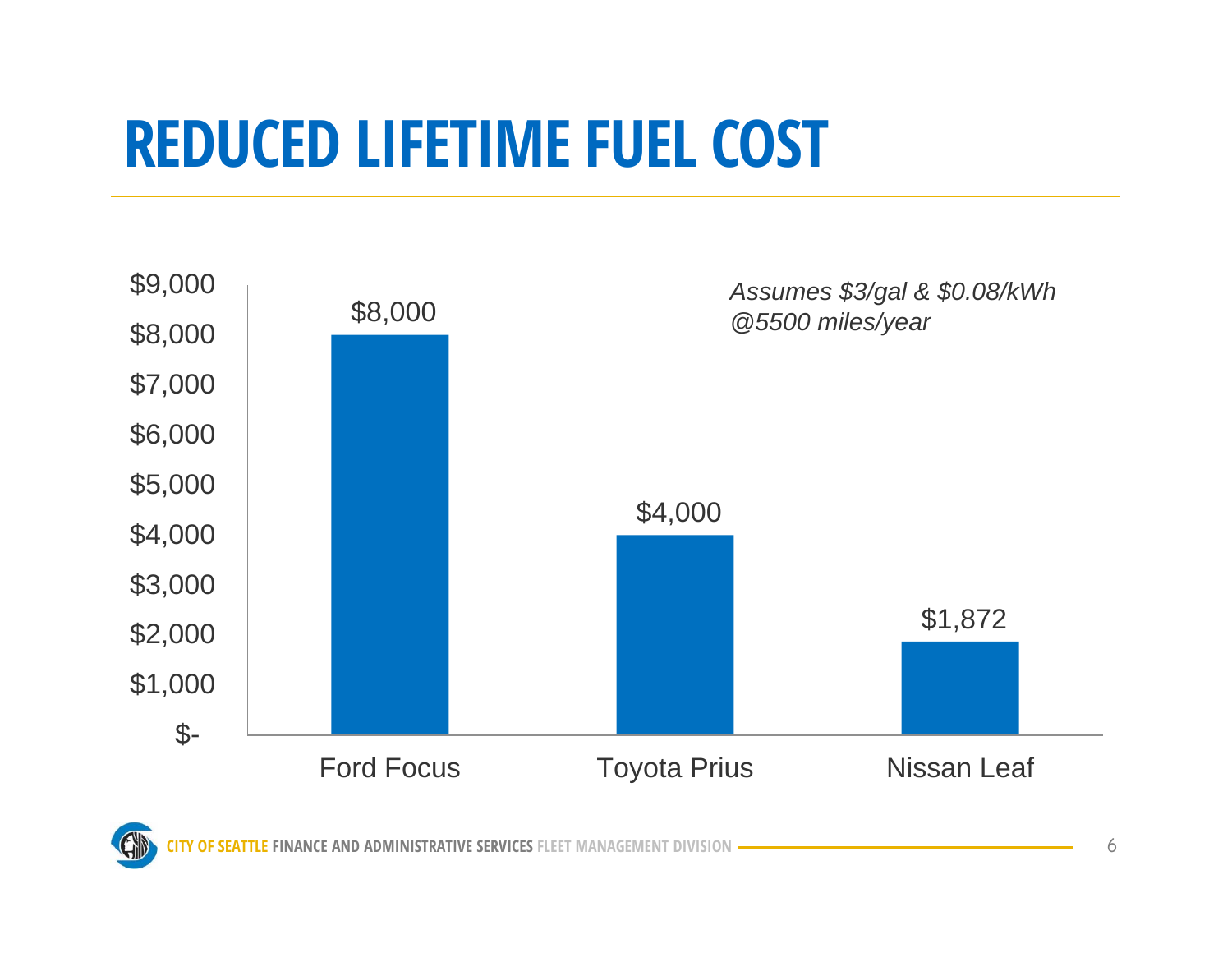#### **REDUCED LIFETIME FUEL COST**

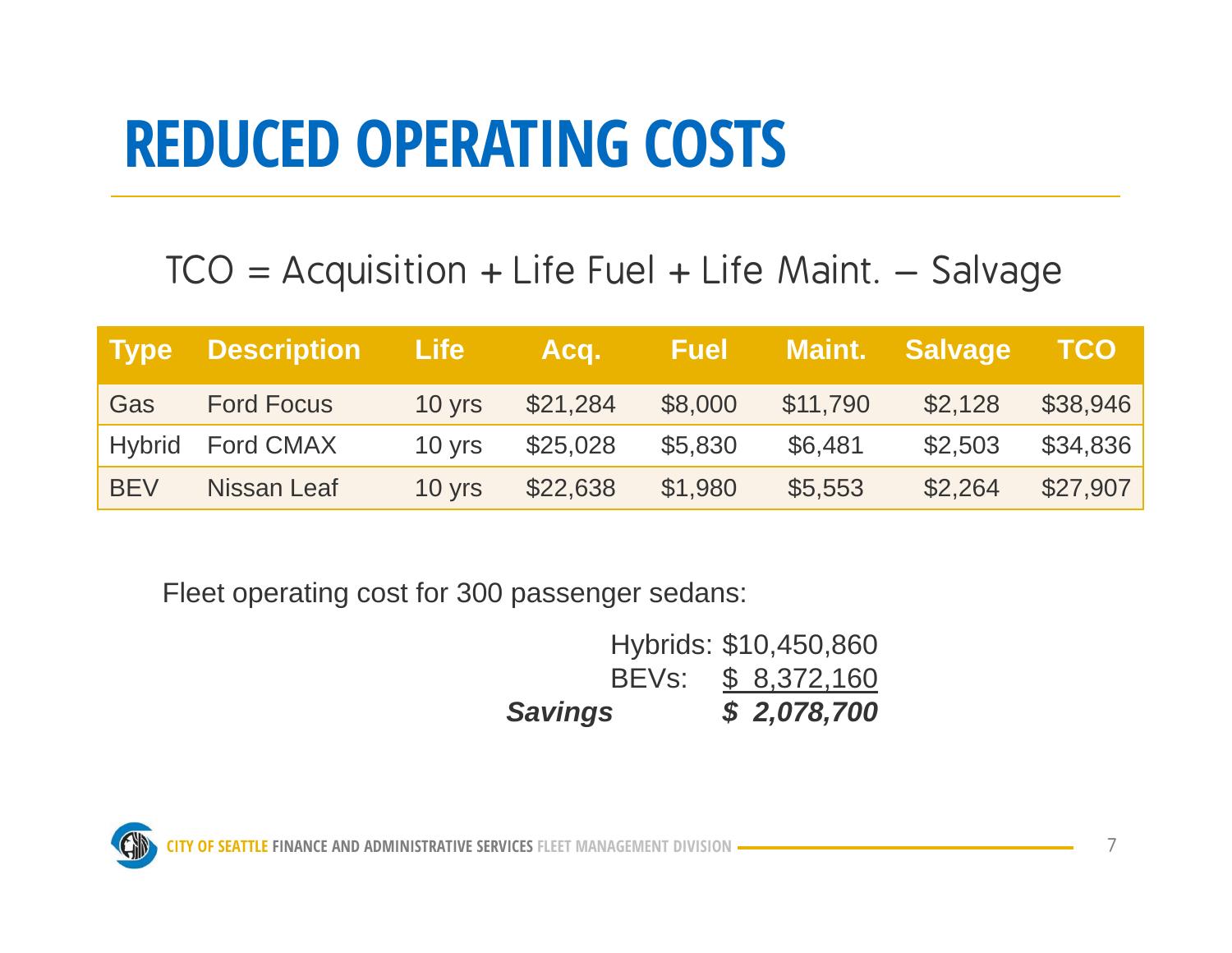#### **REDUCED OPERATING COSTS**

#### $TCO = Acquisition + Life Fuel + Life Mail. - Salvage$

|            | Type Description Life |                  | Acq.     | <b>Fuel</b> |          | Maint. Salvage | <b>TCO</b> |
|------------|-----------------------|------------------|----------|-------------|----------|----------------|------------|
| Gas        | <b>Ford Focus</b>     | 10 yrs           | \$21,284 | \$8,000     | \$11,790 | \$2,128        | \$38,946   |
|            | Hybrid Ford CMAX      | $10 \text{ yrs}$ | \$25,028 | \$5,830     | \$6,481  | \$2,503        | \$34,836   |
| <b>BEV</b> | Nissan Leaf           | 10 yrs           | \$22,638 | \$1,980     | \$5,553  | \$2,264        | \$27,907   |

Fleet operating cost for 300 passenger sedans:

| <b>Savings</b> |  | \$2,078,700           |
|----------------|--|-----------------------|
|                |  | BEVs: \$ 8,372,160    |
|                |  | Hybrids: \$10,450,860 |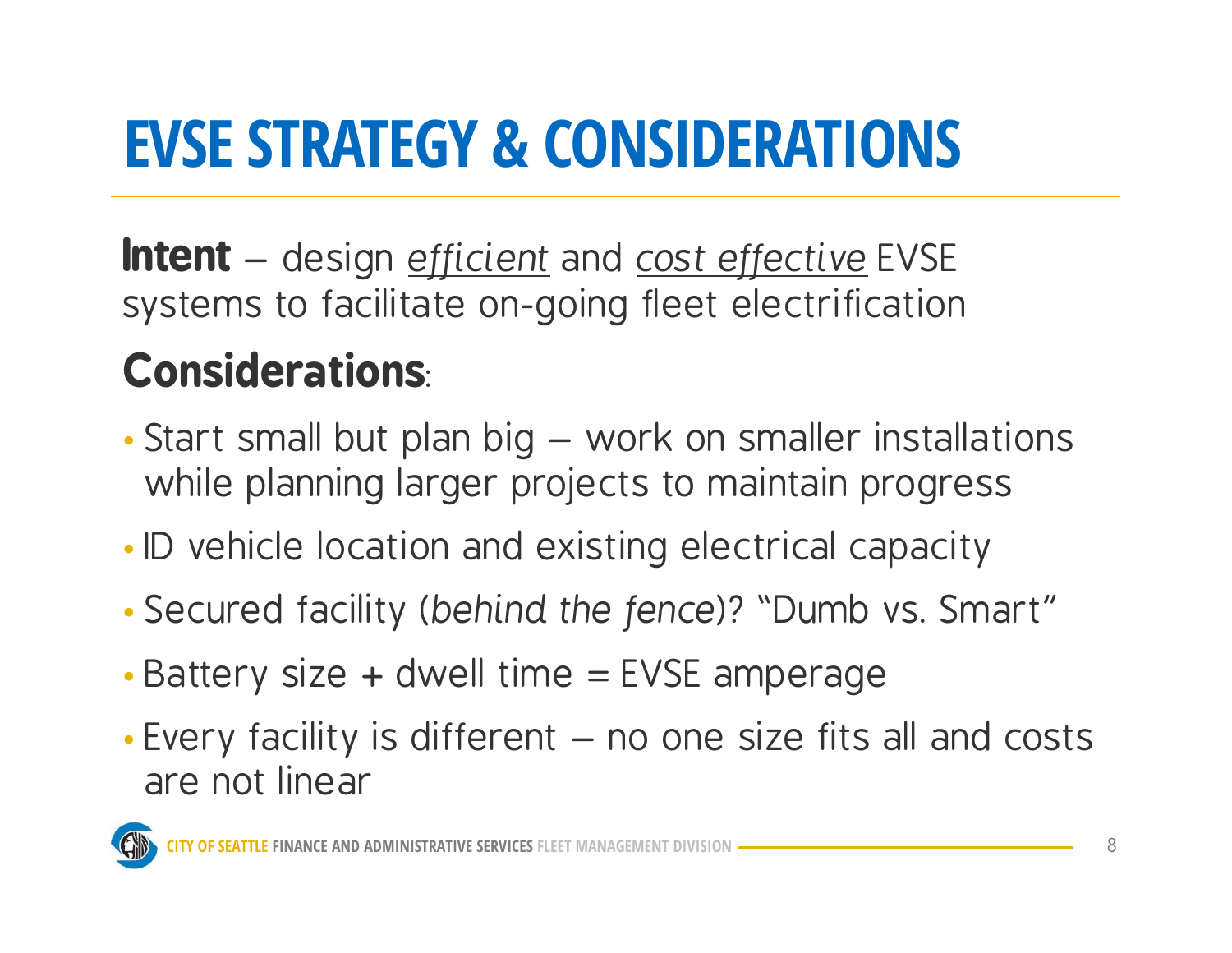# **EVSE STRATEGY & CONSIDERATIONS**

**Intent** – design *efficient* and *cost effective* EVSE systems to facilitate on-going fleet electrification

#### **Considerations**:

- • Start small but plan big – work on smaller installations while planning larger projects to maintain progress
- •• ID vehicle location and existing electrical capacity
- •Secured facility (*behind the fence*)? "Dumb vs. Smart"
- •Battery size <sup>+</sup> dwell time = EVSE amperage
- • Every facility is different – no one size fits all and costs are not linear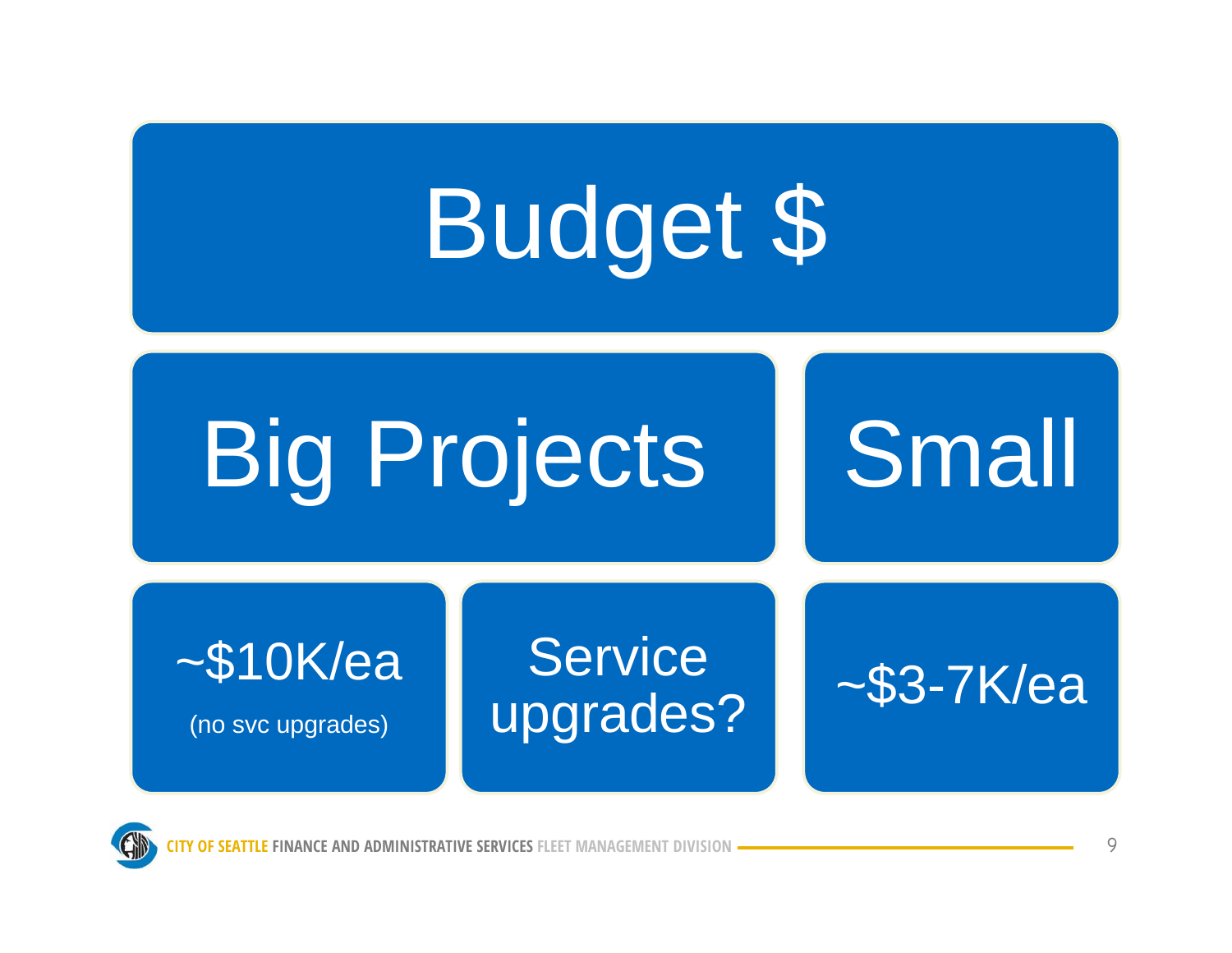



NANCE AND ADMINISTRATI 9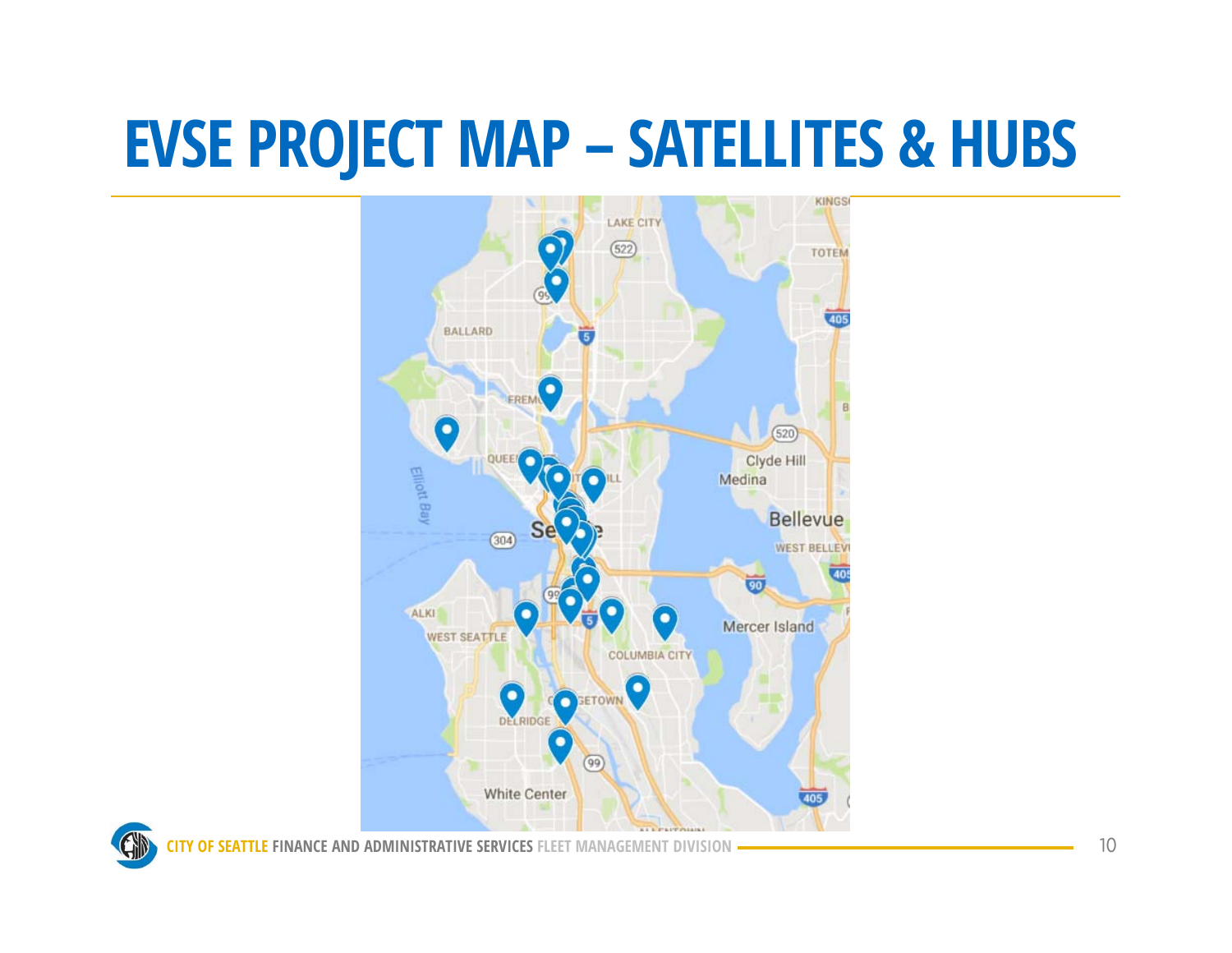#### **EVSE PROJECT MAP – SATELLITES & HUBS**



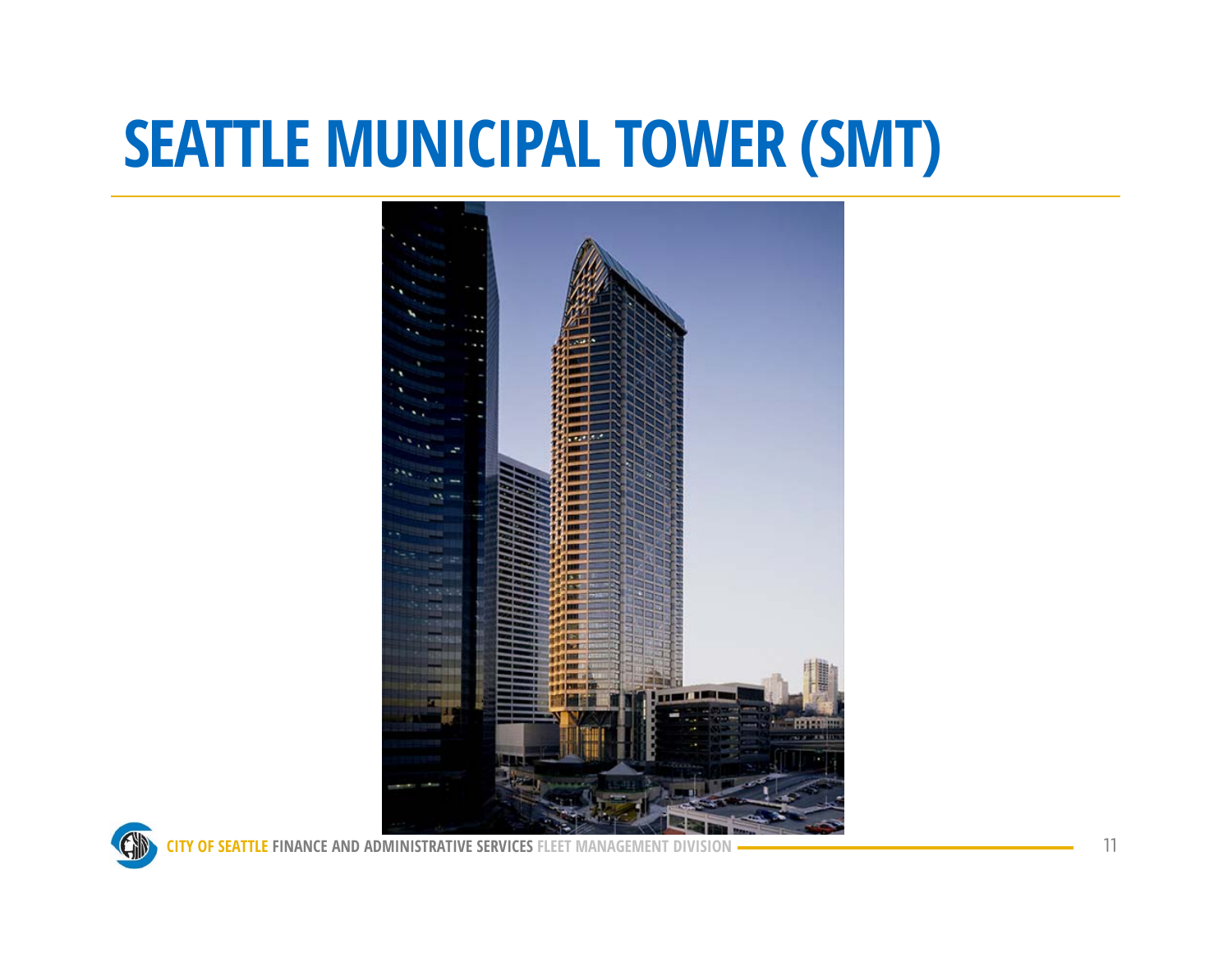#### **SEATTLE MUNICIPAL TOWER (SMT)**



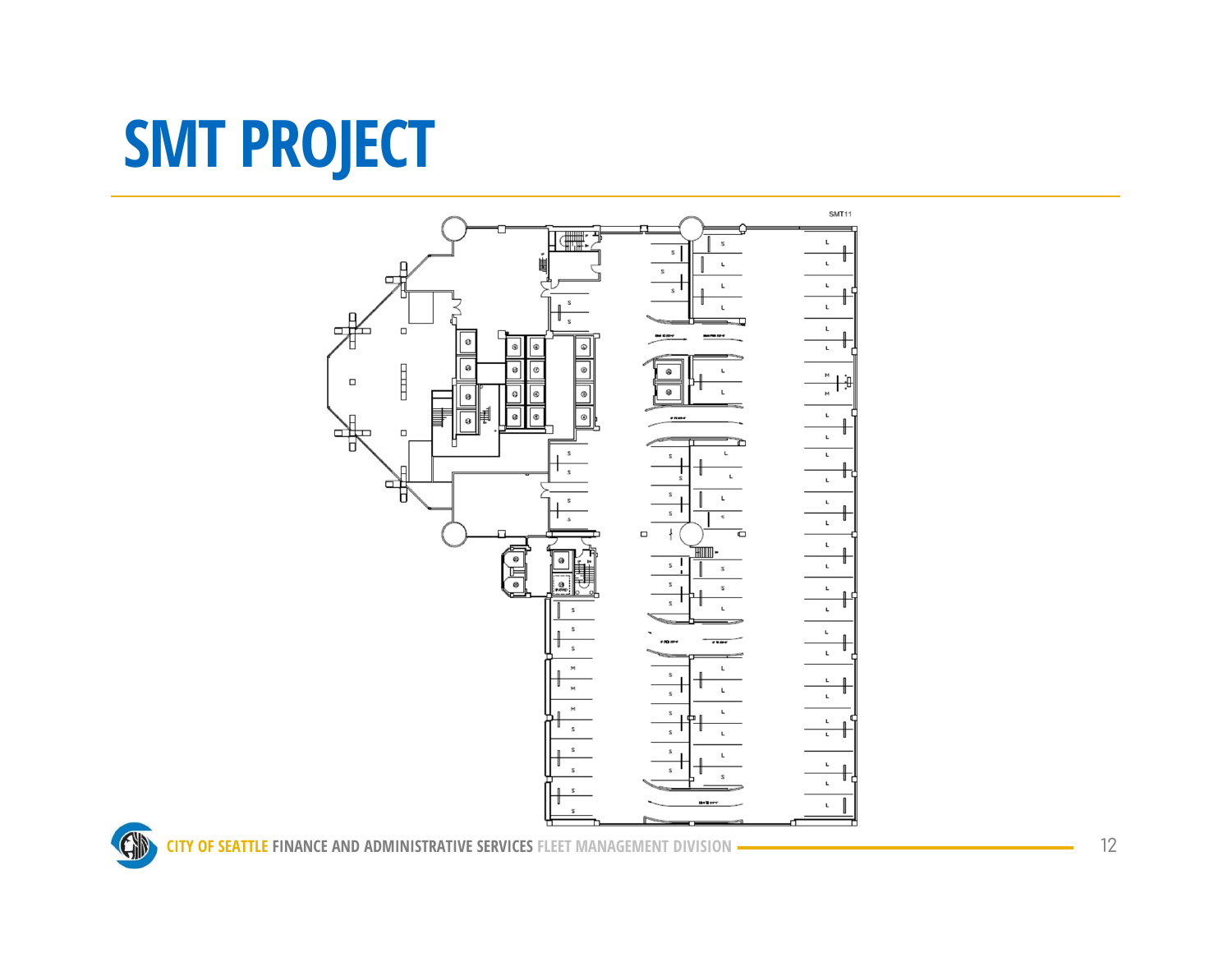# **SMT PROJECT**



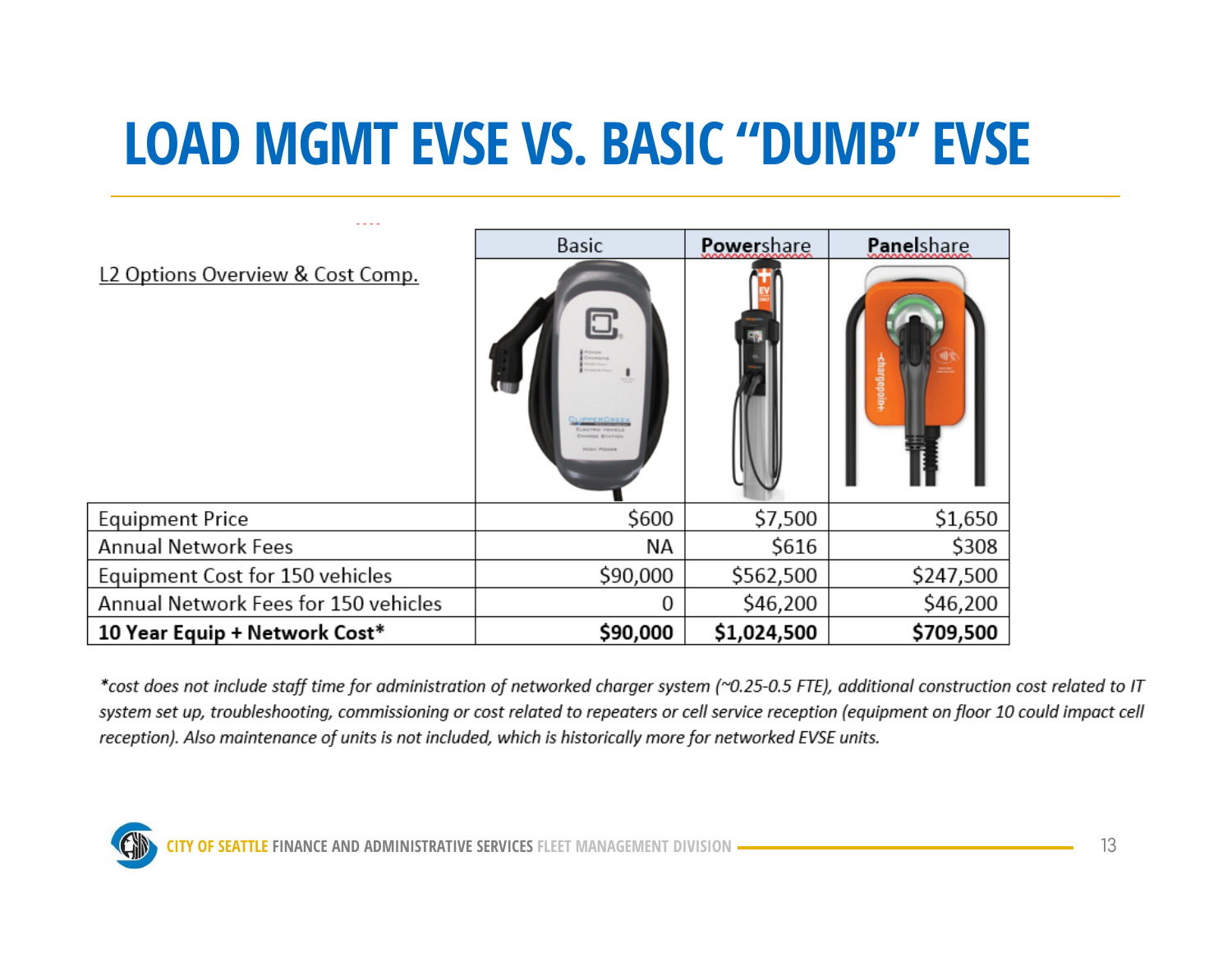#### **LOAD MGMT EVSE VS. BASIC "DUMB" EVSE**

|                                      | Basic                                                                                                           | Powershare  | Panelshare |
|--------------------------------------|-----------------------------------------------------------------------------------------------------------------|-------------|------------|
| L2 Options Overview & Cost Comp.     | 0<br><b>UI</b><br><b>GUIPPERCREEK</b><br><b>ELECTRIC VEHICLE</b><br><b>CHARGE BILITION</b><br><b>HIGH POWER</b> |             |            |
| <b>Equipment Price</b>               | \$600                                                                                                           | \$7,500     | \$1,650    |
| <b>Annual Network Fees</b>           | NА                                                                                                              | \$616       | \$308      |
| Equipment Cost for 150 vehicles      | \$90,000                                                                                                        | \$562,500   | \$247,500  |
| Annual Network Fees for 150 vehicles | 0                                                                                                               | \$46,200    | \$46,200   |
| 10 Year Equip + Network Cost*        | \$90,000                                                                                                        | \$1,024,500 | \$709,500  |

\*cost does not include staff time for administration of networked charger system (~0.25-0.5 FTE), additional construction cost related to IT system set up, troubleshooting, commissioning or cost related to repeaters or cell service reception (equipment on floor 10 could impact cell reception). Also maintenance of units is not included, which is historically more for networked EVSE units.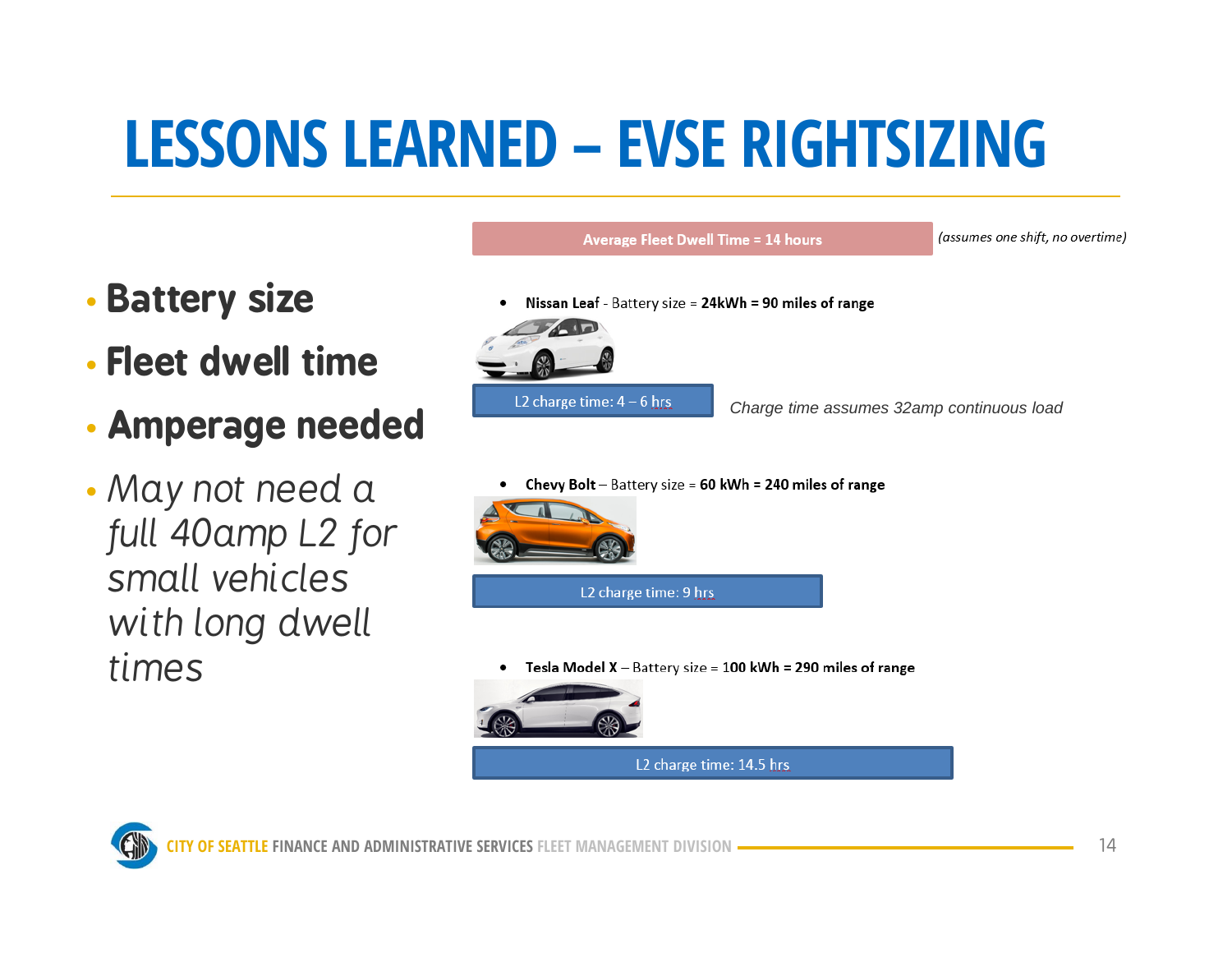## **LESSONS LEARNED – EVSE RIGHTSIZING**

- •**Battery size**
- **Fleet dwell time**
- •**Amperage needed**
- *May not need a full 40amp L2 for small vehicles with long dwell times*
- Nissan Leaf Battery size = 24kWh = 90 miles of range L2 charge time:  $4 - 6$  hrs *Charge time assumes 32amp continuous load* 
	- Chevy Bolt Battery size = 60 kWh = 240 miles of range

**Average Fleet Dwell Time = 14 hours** 



Tesla Model  $X -$  Battery size = 100 kWh = 290 miles of range ٠



(assumes one shift, no overtime)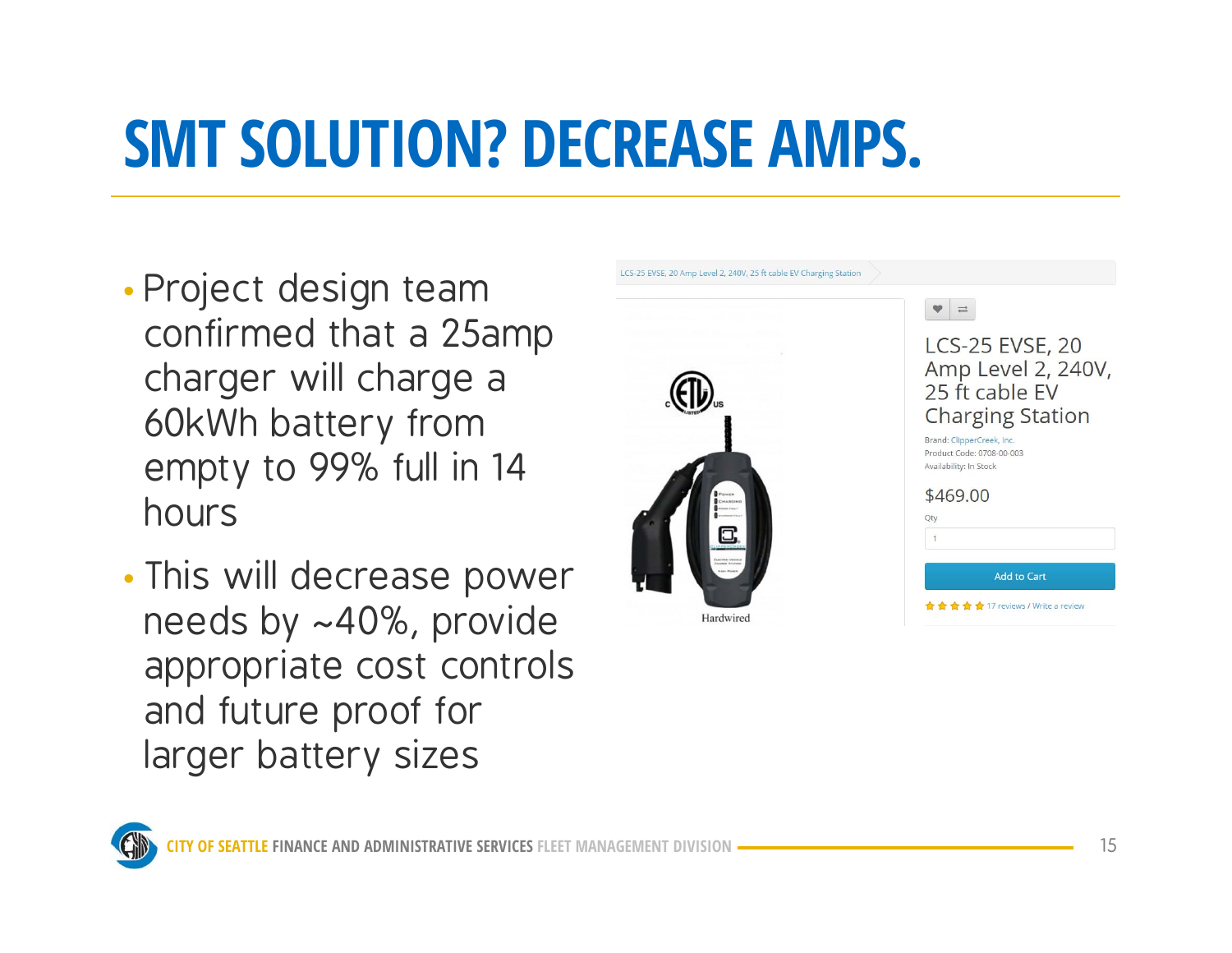### **SMT SOLUTION? DECREASE AMPS.**

- • Project design team confirmed that a 25amp charger will charge a 60kWh battery from empty to 99% full in 14 hours
- •• This will decrease power needs by ~40%, provide appropriate cost controls and future proof for larger battery sizes



LCS-25 EVSE, 20 Amp Level 2, 240V, 25 ft cable EV Charging Station



| <b>Add to Cart</b> |  |  |  |  |
|--------------------|--|--|--|--|
|                    |  |  |  |  |
| $\overline{1}$     |  |  |  |  |
| У                  |  |  |  |  |
|                    |  |  |  |  |

**★★★★** 17 reviews / Write a review

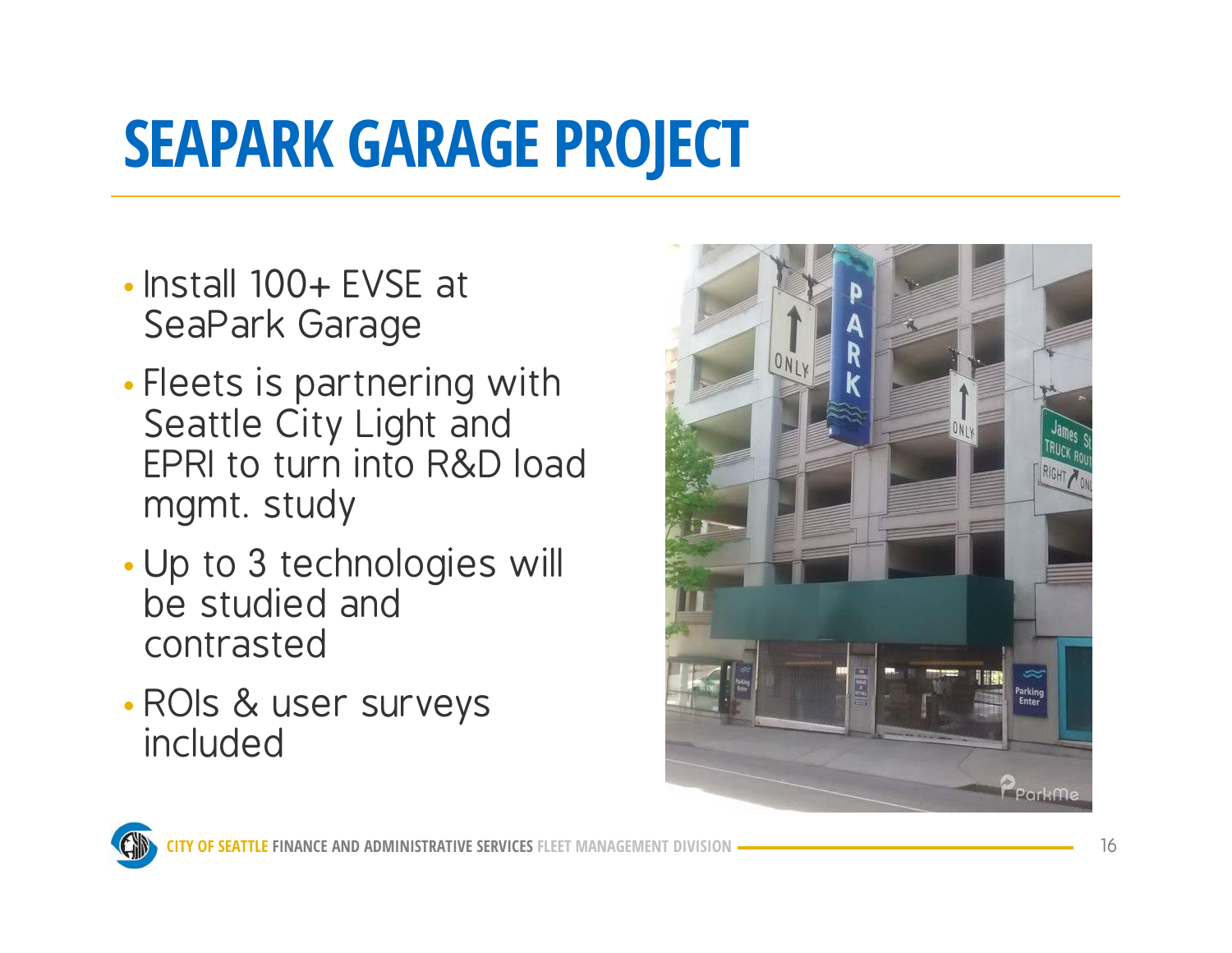# **SEAPARK GARAGE PROJECT**

- Install 100+ EVSE at SeaPark Garage
- • Fleets is partnering with Seattle City Light and EPRI to turn into R&D load mgmt. study
- • Up to 3 technologies will be studied and contrasted
- ROIs & user surveys included



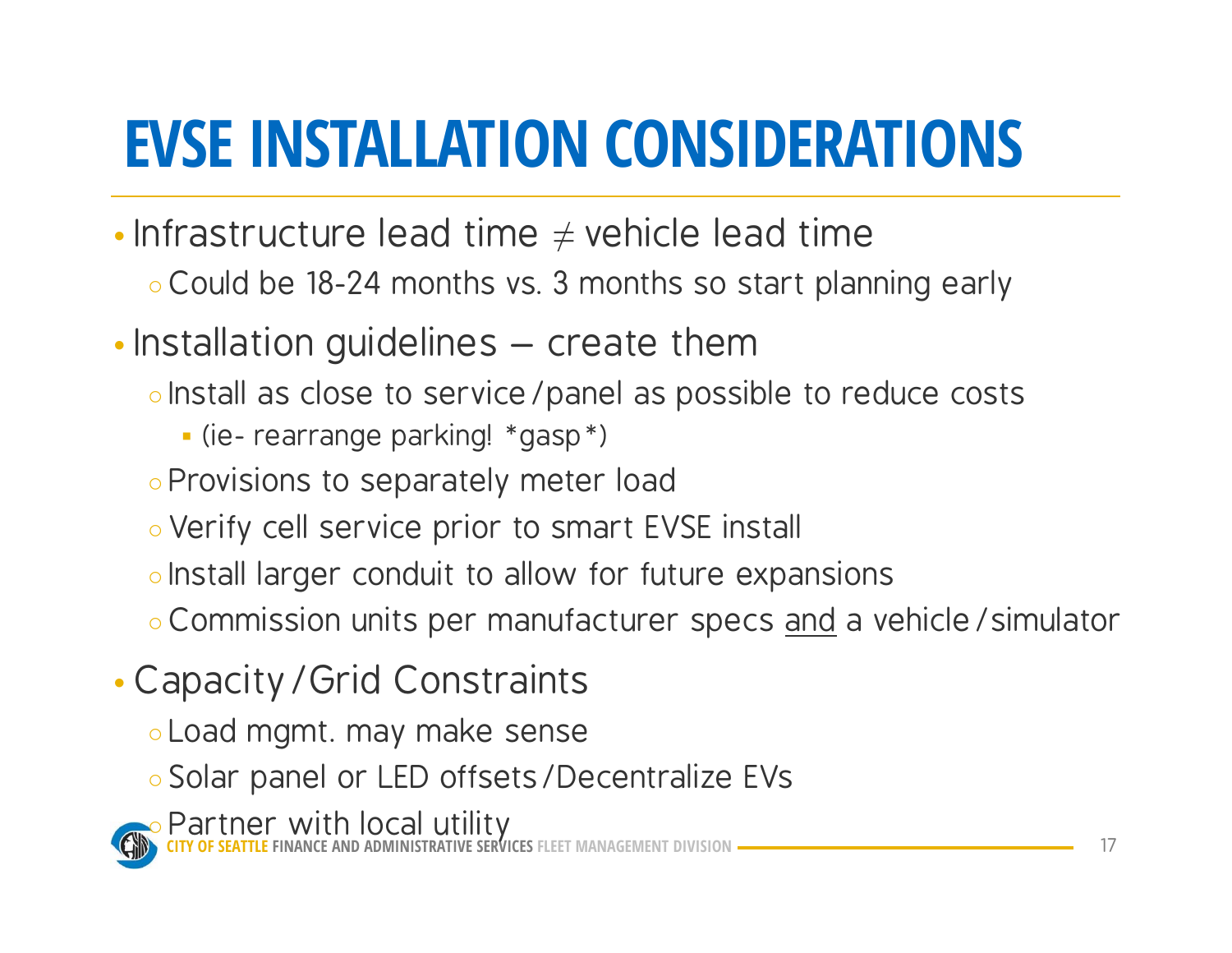## **EVSE INSTALLATION CONSIDERATIONS**

- Infrastructure lead time  $\neq$  vehicle lead time
	- Could be 18-24 months vs. 3 months so start planning early
- •• Installation guidelines – create them
	- Install as close to service/panel as possible to reduce costs
		- (ie- rearrange parking! \*gasp\*)
	- Provisions to separately meter load
	- Verify cell service prior to smart EVSE install
	- Install larger conduit to allow for future expansions
	- Commission units per manufacturer specs <u>and</u> a vehicle / simulator
- • Capacity/Grid Constraints
	- Load mgmt. may make sense
	- Solar panel or LED offsets/Decentralize EVs

**CITY OF SEATTLE FINANCE AND ADMINISTRATIVE SERVICES FLEET MANAGEMENT DIVISION**○ Partner with local utility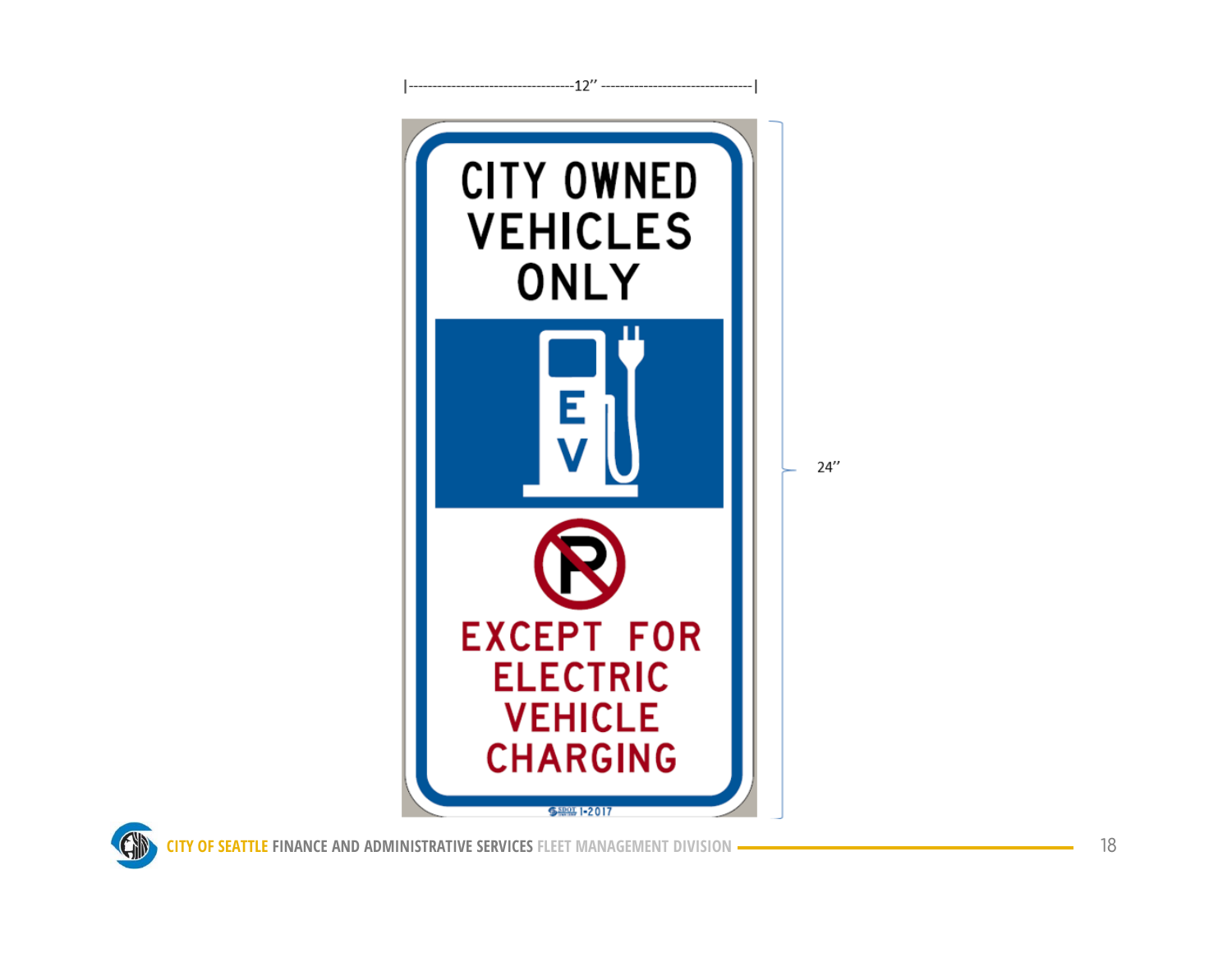



GD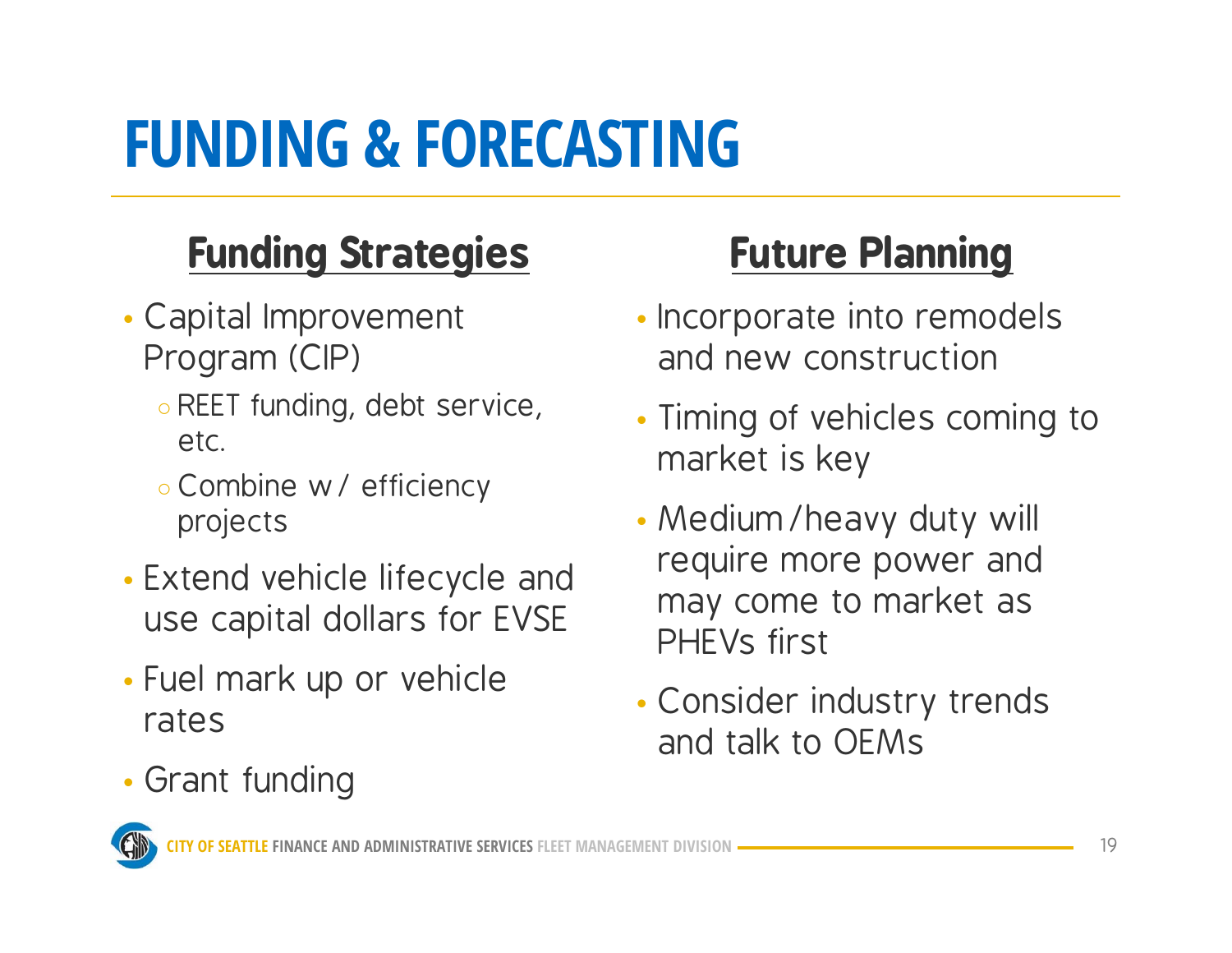## **FUNDING & FORECASTING**

#### **Funding Strategies**

- Capital Improvement Program (CIP)
	- REET funding, debt service, etc.
	- Combine w/ efficiency projects
- Extend vehicle lifecycle and use capital dollars for EVSE
- Fuel mark up or vehicle rates
- Grant funding

#### **Future Planning**

- Incorporate into remodels and new construction
- Timing of vehicles coming to market is key
- Medium/heavy duty will require more power and may come to market as PHEVs first
- Consider industry trends and talk to OEMs